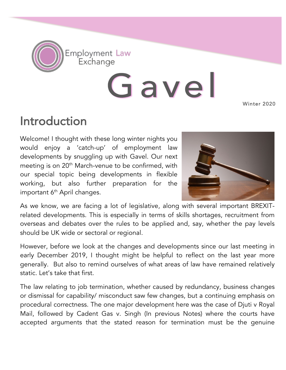

Gavel Winter 2020

## Introduction

Welcome! I thought with these long winter nights you would enjoy a 'catch-up' of employment law developments by snuggling up with Gavel. Our next meeting is on 20<sup>th</sup> March-venue to be confirmed, with our special topic being developments in flexible working, but also further preparation for the important 6<sup>th</sup> April changes.



As we know, we are facing a lot of legislative, along with several important BREXITrelated developments. This is especially in terms of skills shortages, recruitment from overseas and debates over the rules to be applied and, say, whether the pay levels should be UK wide or sectoral or regional.

However, before we look at the changes and developments since our last meeting in early December 2019, I thought might be helpful to reflect on the last year more generally. But also to remind ourselves of what areas of law have remained relatively static. Let's take that first.

The law relating to job termination, whether caused by redundancy, business changes or dismissal for capability/ misconduct saw few changes, but a continuing emphasis on procedural correctness. The one major development here was the case of Djuti v Royal Mail, followed by Cadent Gas v. Singh (In previous Notes) where the courts have accepted arguments that the stated reason for termination must be the genuine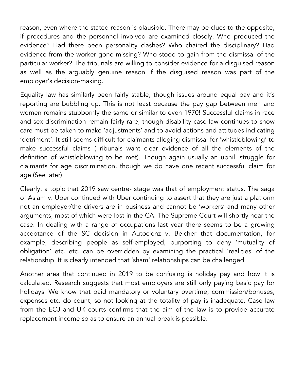reason, even where the stated reason is plausible. There may be clues to the opposite, if procedures and the personnel involved are examined closely. Who produced the evidence? Had there been personality clashes? Who chaired the disciplinary? Had evidence from the worker gone missing? Who stood to gain from the dismissal of the particular worker? The tribunals are willing to consider evidence for a disguised reason as well as the arguably genuine reason if the disguised reason was part of the employer's decision-making.

Equality law has similarly been fairly stable, though issues around equal pay and it's reporting are bubbling up. This is not least because the pay gap between men and women remains stubbornly the same or similar to even 1970! Successful claims in race and sex discrimination remain fairly rare, though disability case law continues to show care must be taken to make 'adjustments' and to avoid actions and attitudes indicating 'detriment'. It still seems difficult for claimants alleging dismissal for 'whistleblowing' to make successful claims (Tribunals want clear evidence of all the elements of the definition of whistleblowing to be met). Though again usually an uphill struggle for claimants for age discrimination, though we do have one recent successful claim for age (See later).

Clearly, a topic that 2019 saw centre- stage was that of employment status. The saga of Aslam v. Uber continued with Uber continuing to assert that they are just a platform not an employer/the drivers are in business and cannot be 'workers' and many other arguments, most of which were lost in the CA. The Supreme Court will shortly hear the case. In dealing with a range of occupations last year there seems to be a growing acceptance of the SC decision in Autoclenz v. Belcher that documentation, for example, describing people as self-employed, purporting to deny 'mutuality of obligation' etc. etc. can be overridden by examining the practical 'realities' of the relationship. It is clearly intended that 'sham' relationships can be challenged.

Another area that continued in 2019 to be confusing is holiday pay and how it is calculated. Research suggests that most employers are still only paying basic pay for holidays. We know that paid mandatory or voluntary overtime, commission/bonuses, expenses etc. do count, so not looking at the totality of pay is inadequate. Case law from the ECJ and UK courts confirms that the aim of the law is to provide accurate replacement income so as to ensure an annual break is possible.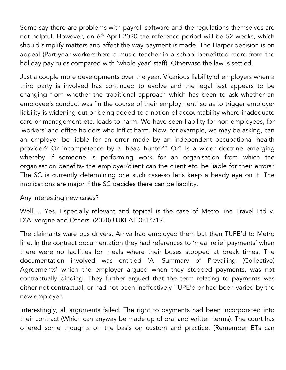Some say there are problems with payroll software and the regulations themselves are not helpful. However, on 6<sup>th</sup> April 2020 the reference period will be 52 weeks, which should simplify matters and affect the way payment is made. The Harper decision is on appeal (Part-year workers-here a music teacher in a school benefitted more from the holiday pay rules compared with 'whole year' staff). Otherwise the law is settled.

Just a couple more developments over the year. Vicarious liability of employers when a third party is involved has continued to evolve and the legal test appears to be changing from whether the traditional approach which has been to ask whether an employee's conduct was 'in the course of their employment' so as to trigger employer liability is widening out or being added to a notion of accountability where inadequate care or management etc. leads to harm. We have seen liability for non-employees, for 'workers' and office holders who inflict harm. Now, for example, we may be asking, can an employer be liable for an error made by an independent occupational health provider? Or incompetence by a 'head hunter'? Or? Is a wider doctrine emerging whereby if someone is performing work for an organisation from which the organisation benefits- the employer/client can the client etc. be liable for their errors? The SC is currently determining one such case-so let's keep a beady eye on it. The implications are major if the SC decides there can be liability.

Any interesting new cases?

Well.... Yes. Especially relevant and topical is the case of Metro line Travel Ltd v. D'Auvergne and Others. (2020) UJKEAT 0214/19.

The claimants ware bus drivers. Arriva had employed them but then TUPE'd to Metro line. In the contract documentation they had references to 'meal relief payments' when there were no facilities for meals where their buses stopped at break times. The documentation involved was entitled 'A 'Summary of Prevailing (Collective) Agreements' which the employer argued when they stopped payments, was not contractually binding. They further argued that the term relating to payments was either not contractual, or had not been ineffectively TUPE'd or had been varied by the new employer.

Interestingly, all arguments failed. The right to payments had been incorporated into their contract (Which can anyway be made up of oral and written terms). The court has offered some thoughts on the basis on custom and practice. (Remember ETs can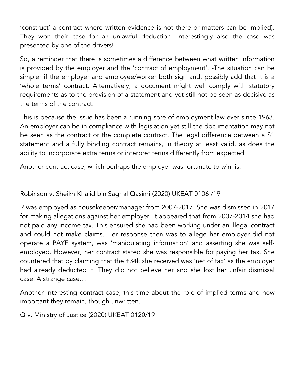'construct' a contract where written evidence is not there or matters can be implied). They won their case for an unlawful deduction. Interestingly also the case was presented by one of the drivers!

So, a reminder that there is sometimes a difference between what written information is provided by the employer and the 'contract of employment'. -The situation can be simpler if the employer and employee/worker both sign and, possibly add that it is a 'whole terms' contract. Alternatively, a document might well comply with statutory requirements as to the provision of a statement and yet still not be seen as decisive as the terms of the contract!

This is because the issue has been a running sore of employment law ever since 1963. An employer can be in compliance with legislation yet still the documentation may not be seen as the contract or the complete contract. The legal difference between a S1 statement and a fully binding contract remains, in theory at least valid, as does the ability to incorporate extra terms or interpret terms differently from expected.

Another contract case, which perhaps the employer was fortunate to win, is:

## Robinson v. Sheikh Khalid bin Sagr al Qasimi (2020) UKEAT 0106 /19

R was employed as housekeeper/manager from 2007-2017. She was dismissed in 2017 for making allegations against her employer. It appeared that from 2007-2014 she had not paid any income tax. This ensured she had been working under an illegal contract and could not make claims. Her response then was to allege her employer did not operate a PAYE system, was 'manipulating information' and asserting she was selfemployed. However, her contract stated she was responsible for paying her tax. She countered that by claiming that the £34k she received was 'net of tax' as the employer had already deducted it. They did not believe her and she lost her unfair dismissal case. A strange case…

Another interesting contract case, this time about the role of implied terms and how important they remain, though unwritten.

Q v. Ministry of Justice (2020) UKEAT 0120/19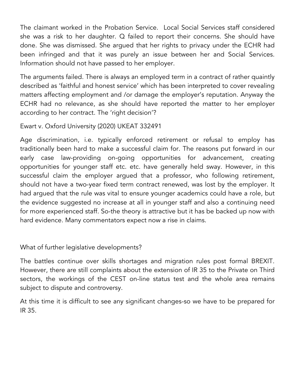The claimant worked in the Probation Service. Local Social Services staff considered she was a risk to her daughter. Q failed to report their concerns. She should have done. She was dismissed. She argued that her rights to privacy under the ECHR had been infringed and that it was purely an issue between her and Social Services. Information should not have passed to her employer.

The arguments failed. There is always an employed term in a contract of rather quaintly described as 'faithful and honest service' which has been interpreted to cover revealing matters affecting employment and /or damage the employer's reputation. Anyway the ECHR had no relevance, as she should have reported the matter to her employer according to her contract. The 'right decision'?

Ewart v. Oxford University (2020) UKEAT 332491

Age discrimination, i.e. typically enforced retirement or refusal to employ has traditionally been hard to make a successful claim for. The reasons put forward in our early case law-providing on-going opportunities for advancement, creating opportunities for younger staff etc. etc. have generally held sway. However, in this successful claim the employer argued that a professor, who following retirement, should not have a two-year fixed term contract renewed, was lost by the employer. It had argued that the rule was vital to ensure younger academics could have a role, but the evidence suggested no increase at all in younger staff and also a continuing need for more experienced staff. So-the theory is attractive but it has be backed up now with hard evidence. Many commentators expect now a rise in claims.

What of further legislative developments?

The battles continue over skills shortages and migration rules post formal BREXIT. However, there are still complaints about the extension of IR 35 to the Private on Third sectors, the workings of the CEST on-line status test and the whole area remains subject to dispute and controversy.

At this time it is difficult to see any significant changes-so we have to be prepared for IR 35.